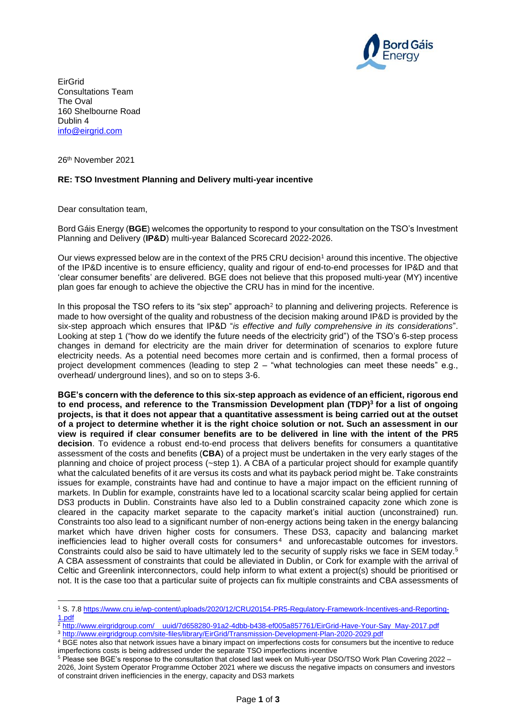

EirGrid Consultations Team The Oval 160 Shelbourne Road Dublin 4 [info@eirgrid.com](mailto:info@eirgrid.com)

26th November 2021

## **RE: TSO Investment Planning and Delivery multi-year incentive**

Dear consultation team,

Bord Gáis Energy (**BGE**) welcomes the opportunity to respond to your consultation on the TSO's Investment Planning and Delivery (**IP&D**) multi-year Balanced Scorecard 2022-2026.

Our views expressed below are in the context of the PR5 CRU decision<sup>1</sup> around this incentive. The objective of the IP&D incentive is to ensure efficiency, quality and rigour of end-to-end processes for IP&D and that 'clear consumer benefits' are delivered. BGE does not believe that this proposed multi-year (MY) incentive plan goes far enough to achieve the objective the CRU has in mind for the incentive.

In this proposal the TSO refers to its "six step" approach<sup>2</sup> to planning and delivering projects. Reference is made to how oversight of the quality and robustness of the decision making around IP&D is provided by the six-step approach which ensures that IP&D "*is effective and fully comprehensive in its considerations*". Looking at step 1 ("how do we identify the future needs of the electricity grid") of the TSO's 6-step process changes in demand for electricity are the main driver for determination of scenarios to explore future electricity needs. As a potential need becomes more certain and is confirmed, then a formal process of project development commences (leading to step 2 – "what technologies can meet these needs" e.g., overhead/ underground lines), and so on to steps 3-6.

**BGE's concern with the deference to this six-step approach as evidence of an efficient, rigorous end to end process, and reference to the Transmission Development plan (TDP)<sup>3</sup> for a list of ongoing projects, is that it does not appear that a quantitative assessment is being carried out at the outset of a project to determine whether it is the right choice solution or not. Such an assessment in our view is required if clear consumer benefits are to be delivered in line with the intent of the PR5 decision**. To evidence a robust end-to-end process that delivers benefits for consumers a quantitative assessment of the costs and benefits (**CBA**) of a project must be undertaken in the very early stages of the planning and choice of project process (~step 1). A CBA of a particular project should for example quantify what the calculated benefits of it are versus its costs and what its payback period might be. Take constraints issues for example, constraints have had and continue to have a major impact on the efficient running of markets. In Dublin for example, constraints have led to a locational scarcity scalar being applied for certain DS3 products in Dublin. Constraints have also led to a Dublin constrained capacity zone which zone is cleared in the capacity market separate to the capacity market's initial auction (unconstrained) run. Constraints too also lead to a significant number of non-energy actions being taken in the energy balancing market which have driven higher costs for consumers. These DS3, capacity and balancing market inefficiencies lead to higher overall costs for consumers<sup>4</sup> and unforecastable outcomes for investors. Constraints could also be said to have ultimately led to the security of supply risks we face in SEM today.<sup>5</sup> A CBA assessment of constraints that could be alleviated in Dublin, or Cork for example with the arrival of Celtic and Greenlink interconnectors, could help inform to what extent a project(s) should be prioritised or not. It is the case too that a particular suite of projects can fix multiple constraints and CBA assessments of

<sup>1</sup> S. 7.8 [https://www.cru.ie/wp-content/uploads/2020/12/CRU20154-PR5-Regulatory-Framework-Incentives-and-Reporting-](https://www.cru.ie/wp-content/uploads/2020/12/CRU20154-PR5-Regulatory-Framework-Incentives-and-Reporting-1.pdf)[1.pdf](https://www.cru.ie/wp-content/uploads/2020/12/CRU20154-PR5-Regulatory-Framework-Incentives-and-Reporting-1.pdf)

<sup>2</sup> [http://www.eirgridgroup.com/\\_\\_uuid/7d658280-91a2-4dbb-b438-ef005a857761/EirGrid-Have-Your-Say\\_May-2017.pdf](http://www.eirgridgroup.com/__uuid/7d658280-91a2-4dbb-b438-ef005a857761/EirGrid-Have-Your-Say_May-2017.pdf)

<sup>3</sup> <http://www.eirgridgroup.com/site-files/library/EirGrid/Transmission-Development-Plan-2020-2029.pdf>

<sup>&</sup>lt;sup>4</sup> BGE notes also that network issues have a binary impact on imperfections costs for consumers but the incentive to reduce imperfections costs is being addressed under the separate TSO imperfections incentive

<sup>5</sup> Please see BGE's response to the consultation that closed last week on Multi-year DSO/TSO Work Plan Covering 2022 – 2026, Joint System Operator Programme October 2021 where we discuss the negative impacts on consumers and investors of constraint driven inefficiencies in the energy, capacity and DS3 markets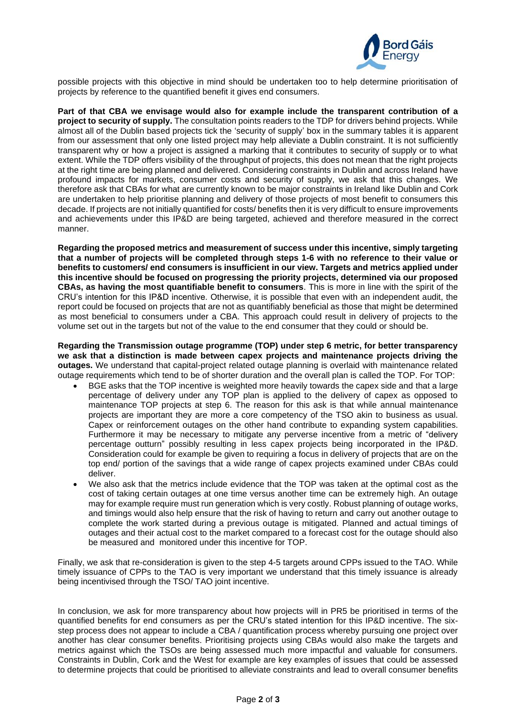

possible projects with this objective in mind should be undertaken too to help determine prioritisation of projects by reference to the quantified benefit it gives end consumers.

**Part of that CBA we envisage would also for example include the transparent contribution of a project to security of supply.** The consultation points readers to the TDP for drivers behind projects. While almost all of the Dublin based projects tick the 'security of supply' box in the summary tables it is apparent from our assessment that only one listed project may help alleviate a Dublin constraint. It is not sufficiently transparent why or how a project is assigned a marking that it contributes to security of supply or to what extent. While the TDP offers visibility of the throughput of projects, this does not mean that the right projects at the right time are being planned and delivered. Considering constraints in Dublin and across Ireland have profound impacts for markets, consumer costs and security of supply, we ask that this changes. We therefore ask that CBAs for what are currently known to be major constraints in Ireland like Dublin and Cork are undertaken to help prioritise planning and delivery of those projects of most benefit to consumers this decade. If projects are not initially quantified for costs/ benefits then it is very difficult to ensure improvements and achievements under this IP&D are being targeted, achieved and therefore measured in the correct manner.

**Regarding the proposed metrics and measurement of success under this incentive, simply targeting that a number of projects will be completed through steps 1-6 with no reference to their value or benefits to customers/ end consumers is insufficient in our view. Targets and metrics applied under this incentive should be focused on progressing the priority projects, determined via our proposed CBAs, as having the most quantifiable benefit to consumers**. This is more in line with the spirit of the CRU's intention for this IP&D incentive. Otherwise, it is possible that even with an independent audit, the report could be focused on projects that are not as quantifiably beneficial as those that might be determined as most beneficial to consumers under a CBA. This approach could result in delivery of projects to the volume set out in the targets but not of the value to the end consumer that they could or should be.

**Regarding the Transmission outage programme (TOP) under step 6 metric, for better transparency we ask that a distinction is made between capex projects and maintenance projects driving the outages.** We understand that capital-project related outage planning is overlaid with maintenance related outage requirements which tend to be of shorter duration and the overall plan is called the TOP. For TOP:

- BGE asks that the TOP incentive is weighted more heavily towards the capex side and that a large percentage of delivery under any TOP plan is applied to the delivery of capex as opposed to maintenance TOP projects at step 6. The reason for this ask is that while annual maintenance projects are important they are more a core competency of the TSO akin to business as usual. Capex or reinforcement outages on the other hand contribute to expanding system capabilities. Furthermore it may be necessary to mitigate any perverse incentive from a metric of "delivery percentage outturn" possibly resulting in less capex projects being incorporated in the IP&D. Consideration could for example be given to requiring a focus in delivery of projects that are on the top end/ portion of the savings that a wide range of capex projects examined under CBAs could deliver.
- We also ask that the metrics include evidence that the TOP was taken at the optimal cost as the cost of taking certain outages at one time versus another time can be extremely high. An outage may for example require must run generation which is very costly. Robust planning of outage works, and timings would also help ensure that the risk of having to return and carry out another outage to complete the work started during a previous outage is mitigated. Planned and actual timings of outages and their actual cost to the market compared to a forecast cost for the outage should also be measured and monitored under this incentive for TOP.

Finally, we ask that re-consideration is given to the step 4-5 targets around CPPs issued to the TAO. While timely issuance of CPPs to the TAO is very important we understand that this timely issuance is already being incentivised through the TSO/ TAO joint incentive.

In conclusion, we ask for more transparency about how projects will in PR5 be prioritised in terms of the quantified benefits for end consumers as per the CRU's stated intention for this IP&D incentive. The sixstep process does not appear to include a CBA / quantification process whereby pursuing one project over another has clear consumer benefits. Prioritising projects using CBAs would also make the targets and metrics against which the TSOs are being assessed much more impactful and valuable for consumers. Constraints in Dublin, Cork and the West for example are key examples of issues that could be assessed to determine projects that could be prioritised to alleviate constraints and lead to overall consumer benefits